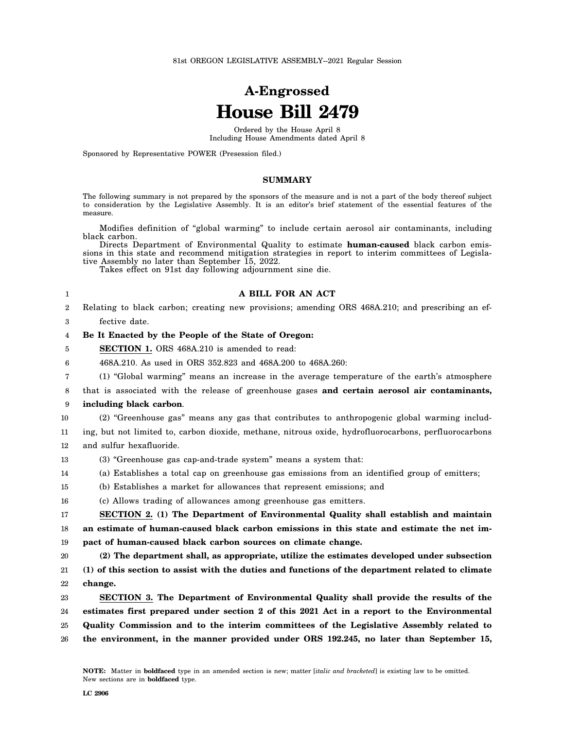## **A-Engrossed House Bill 2479**

Ordered by the House April 8 Including House Amendments dated April 8

Sponsored by Representative POWER (Presession filed.)

## **SUMMARY**

The following summary is not prepared by the sponsors of the measure and is not a part of the body thereof subject to consideration by the Legislative Assembly. It is an editor's brief statement of the essential features of the measure.

Modifies definition of "global warming" to include certain aerosol air contaminants, including black carbon.

Directs Department of Environmental Quality to estimate **human-caused** black carbon emissions in this state and recommend mitigation strategies in report to interim committees of Legislative Assembly no later than September 15, 2022.

Takes effect on 91st day following adjournment sine die.

- 1 2 **A BILL FOR AN ACT** Relating to black carbon; creating new provisions; amending ORS 468A.210; and prescribing an ef-
- 3 fective date.

## 4 **Be It Enacted by the People of the State of Oregon:**

5 **SECTION 1.** ORS 468A.210 is amended to read:

- 6 468A.210. As used in ORS 352.823 and 468A.200 to 468A.260:
- 7 (1) "Global warming" means an increase in the average temperature of the earth's atmosphere
- 8 that is associated with the release of greenhouse gases **and certain aerosol air contaminants,**
- 9 **including black carbon**.
- 10 (2) "Greenhouse gas" means any gas that contributes to anthropogenic global warming includ-
- 11 ing, but not limited to, carbon dioxide, methane, nitrous oxide, hydrofluorocarbons, perfluorocarbons
- 12 and sulfur hexafluoride.
- 13 (3) "Greenhouse gas cap-and-trade system" means a system that:
- 14 (a) Establishes a total cap on greenhouse gas emissions from an identified group of emitters;
- 15 (b) Establishes a market for allowances that represent emissions; and
- 16 (c) Allows trading of allowances among greenhouse gas emitters.

17 18 19 **SECTION 2. (1) The Department of Environmental Quality shall establish and maintain an estimate of human-caused black carbon emissions in this state and estimate the net impact of human-caused black carbon sources on climate change.**

20 21 22 **(2) The department shall, as appropriate, utilize the estimates developed under subsection (1) of this section to assist with the duties and functions of the department related to climate change.**

23 24 25 26 **SECTION 3. The Department of Environmental Quality shall provide the results of the estimates first prepared under section 2 of this 2021 Act in a report to the Environmental Quality Commission and to the interim committees of the Legislative Assembly related to the environment, in the manner provided under ORS 192.245, no later than September 15,**